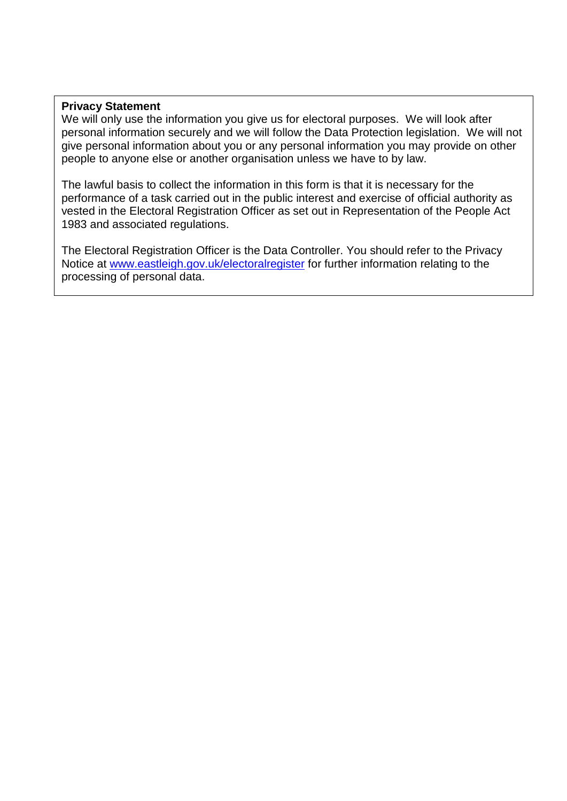## **Privacy Statement**

We will only use the information you give us for electoral purposes. We will look after personal information securely and we will follow the Data Protection legislation. We will not give personal information about you or any personal information you may provide on other people to anyone else or another organisation unless we have to by law.

The lawful basis to collect the information in this form is that it is necessary for the performance of a task carried out in the public interest and exercise of official authority as vested in the Electoral Registration Officer as set out in Representation of the People Act 1983 and associated regulations.

The Electoral Registration Officer is the Data Controller. You should refer to the Privacy Notice at [www.eastleigh.gov.uk/electoralregister](http://www.eastleigh.gov.uk/electoralregister) for further information relating to the processing of personal data.